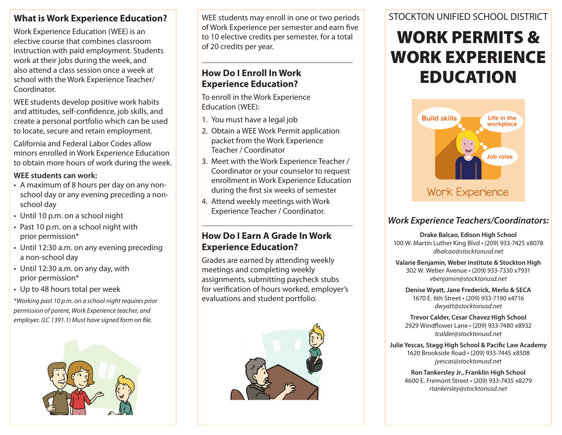#### **What is Work Experience Education?**

Work Experience Education (WEE) is an elective course that combines classroom instruction with paid employment. Students work at their jobs during the week, and also attend a class session once a week at school with the Work Experience Teacher/ Coordinator.

WEE students develop positive work habits and attitudes, self-confidence, job skills, and create a personal portfolio which can be used to locate, secure and retain employment.

California and Federal Labor Codes allow minors enrolled in Work Experience Education to obtain more hours of work during the week.

#### **WEE students can work:**

- A maximum of 8 hours per day on any nonschool day or any evening preceding a nonschool day
- Until 10 p.m. on a school night
- Past 10 p.m. on a school night with prior permission\*
- Until 12:30 a.m. on any evening preceding a non-school day
- Until 12:30 a.m. on any day, with prior permission\*
- Up to 48 hours total per week

*\*Working past 10 p.m. on a school night requires prior permission of parent, Work Experience teacher, and employer. (LC 1391.1) Must have signed form on file.*



WEE students may enroll in one or two periods of Work Experience per semester and earn five to 10 elective credits per semester, for a total of 20 credits per year.

**\_\_\_\_\_\_\_\_\_\_\_\_\_\_\_\_\_\_\_\_\_\_\_\_\_\_\_\_\_\_\_\_\_\_\_\_\_**

### **How Do I Enroll In Work Experience Education?**

To enroll in the Work Experience Education (WEE):

- 1. You must have a legal job
- 2. Obtain a WEE Work Permit application packet from the Work Experience Teacher / Coordinator
- 3. Meet with the Work Experience Teacher / Coordinator or your counselor to request enrollment in Work Experience Education during the first six weeks of semester

**\_\_\_\_\_\_\_\_\_\_\_\_\_\_\_\_\_\_\_\_\_\_\_\_\_\_\_\_\_\_\_\_\_\_\_\_\_**

4. Attend weekly meetings with Work Experience Teacher / Coordinator.

#### **How Do I Earn A Grade In Work Experience Education?**

Grades are earned by attending weekly meetings and completing weekly assignments, submitting paycheck stubs for verification of hours worked, employer's evaluations and student portfolio.



### STOCKTON UNIFIED SCHOOL DISTRICT

# WORK PERMITS & WORK EXPERIENCE EDUCATION



#### *Work Experience Teachers/Coordinators:*

**Drake Balcao, Edison High School** 100 W. Martin Luther King Blvd • (209) 933-7425 x8078 *dbalcao@stocktonusd.net*

**Valarie Benjamin, Weber Institute & Stockton High** 302 W. Weber Avenue • (209) 933-7330 x7931 *vbenjamin@stocktonusd.net*

**Denise Wyatt, Jane Frederick, Merlo & SECA** 1670 E. 6th Street • (209) 933-7190 x4716 *dwyatt@stocktonusd.net*

**Trevor Calder, Cesar Chavez High School** 2929 Windflower Lane • (209) 933-7480 x8932 *tcalder@stocktonusd.net*

**Julie Yescas, Stagg High School & Pacific Law Academy** 1620 Brookside Road • (209) 933-7445 x8508 *jyescas@stocktonusd.net*

> **Ron Tankersley Jr., Franklin High School** 4600 E. Fremont Street • (209) 933-7435 x8279 *rtankersley@stocktonusd.net*